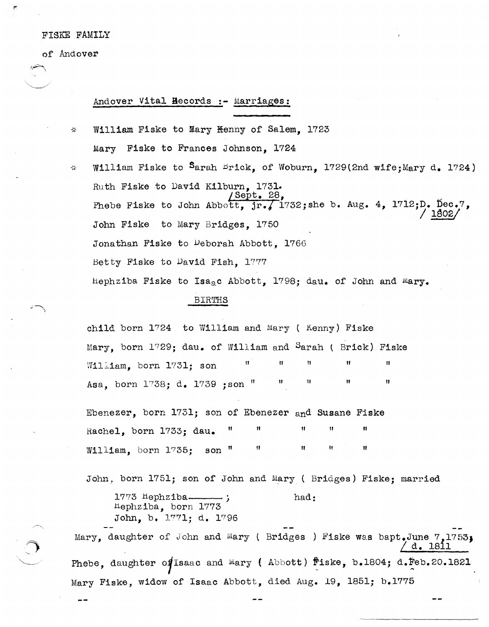## FISKE FAMILY

of Andover

 $\mathcal{L}$ 

 $\omega_{\rm c}$ 

## Andover Vital Hecords :- Marriages:

- William Fiske to Mary <del>K</del>enny of Salem. 1723 Mary Fiske to Frances Johnson. 1724 William Fiske to Sarah Brick, of Woburn, 1729(2nd wife; Mary d. 1724)
- Ruth Fiske to David Kilburn. 1731. Sept. 28, Phebe Fiske to John Abbott,  $jr$ , 1732; she b. Aug. 4, 1712; D. Dec.7, John Fiske to Mary Bridges. 1750 Jonathan Fiske to Deborah Abbott, 1766 Betty Fiske to David Fish, 1777 Hephziba Fiske to Isa<sub>2</sub>c Abbott, 1798; dau. of John and Mary.

## **BIRTHS**

child born 1724 to William and Mary ( Kenny) Fiske Mary, born 1729; dau, of William and Sarah ( Brick) Fiske William. born 1731: son Ħ Asa, born 1738; d. 1739; son "

Ebenezer, born 1731; son of Ebenezer and Susane Fiske  $\mathbf{u}$ Rachel, born 1733; dau. Ħ Ħ William, born  $1735$ ; son "

John, born 1751; son of John and Mary ( Bridges) Fiske; married

 $1773$   $hephziba$ had: Hephziba, born 1773 John, b. 1771; d. 1796

Mary, daughter of John and Mary (Bridges ) Fiske was bapt.June 7.1753: 7 d. 1811 Phebe, daughter of Isaac and Mary (Abbott) fiske, b.1804; d. Feb. 20.1821 Mary Fiske, widow of Isaac Abbott, died Aug. 19, 1851; b.1775